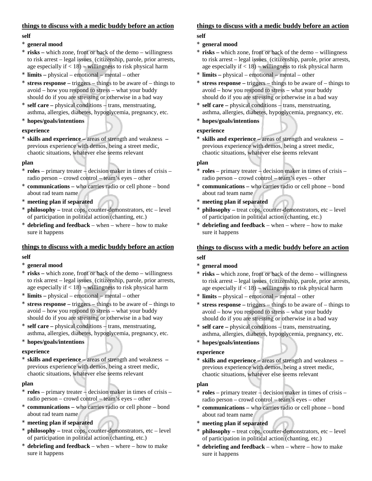## **things to discuss with a medic buddy before an action**

#### **self**

## \* **general mood**

- **risks** which zone, front or back of the demo willingness to risk arrest – legal issues (citizenship, parole, prior arrests, age especially if  $<$  18) – willingness to risk physical harm
- \* **limits** physical emotional mental other
- \* **stress response** triggers things to be aware of things to avoid – how you respond to stress – what your buddy should do if you are stressing or otherwise in a bad way
- self care physical conditions trans, menstruating, asthma, allergies, diabetes, hypoglycemia, pregnancy, etc.
- \* **hopes/goals/intentions**

### **experience**

\* **skills and experience –** areas of strength and weakness **–**  previous experience with demos, being a street medic, chaotic situations, whatever else seems relevant

#### **plan**

- \* **roles**  primary treater decision maker in times of crisis radio person – crowd control – team's eyes – other
- **communications who carries radio or cell phone bond** about rad team name
- **meeting plan if separated**
- **philosophy** treat cops, counter-demonstrators, etc level of participation in political action (chanting, etc.)
- **debriefing and feedback** when where how to make sure it happens

### **things to discuss with a medic buddy before an action**

#### **self**

- \* **general mood**
- risks which zone, front or back of the demo willingness to risk arrest – legal issues (citizenship, parole, prior arrests, age especially if  $<$  18) – willingness to risk physical harm
- **limits** physical emotional mental other
- \* **stress response** triggers things to be aware of things to avoid – how you respond to stress – what your buddy should do if you are stressing or otherwise in a bad way
- self care physical conditions trans, menstruating, asthma, allergies, diabetes, hypoglycemia, pregnancy, etc.
- \* **hopes/goals/intentions**

### **experience**

**skills and experience – areas of strength and weakness –** previous experience with demos, being a street medic, chaotic situations, whatever else seems relevant

#### **plan**

- \* **roles**  primary treater decision maker in times of crisis radio person – crowd control – team's eyes – other
- \* **communications** who carries radio or cell phone bond about rad team name
- **meeting plan if separated**
- **philosophy** treat cops, counter-demonstrators, etc level of participation in political action (chanting, etc.)
- **debriefing and feedback** when where how to make sure it happens

# **things to discuss with a medic buddy before an action**

#### **self**

## \* **general mood**

- \* **risks** which zone, front or back of the demo willingness to risk arrest – legal issues (citizenship, parole, prior arrests, age especially if  $<$  18) – willingness to risk physical harm
- **limits** physical emotional mental other
- \* **stress response** triggers things to be aware of things to avoid – how you respond to stress – what your buddy should do if you are stressing or otherwise in a bad way
- self care physical conditions trans, menstruating, asthma, allergies, diabetes, hypoglycemia, pregnancy, etc.
- \* **hopes/goals/intentions**

## **experience**

\* **skills and experience –** areas of strength and weakness **–**  previous experience with demos, being a street medic, chaotic situations, whatever else seems relevant

### **plan**

- \* **roles**  primary treater decision maker in times of crisis radio person – crowd control – team's eyes – other
- **communications –** who carries radio or cell phone bond about rad team name
- meeting plan if separated
- **philosophy** treat cops, counter-demonstrators, etc level of participation in political action (chanting, etc.)
- **debriefing and feedback** when where how to make sure it happens

# **things to discuss with a medic buddy before an action**

# **self**

- \* **general mood**
- \* **risks** which zone, front or back of the demo willingness to risk arrest – legal issues (citizenship, parole, prior arrests, age especially if  $<$  18) – willingness to risk physical harm
- **limits** physical emotional mental other
- \* **stress response** triggers things to be aware of things to avoid – how you respond to stress – what your buddy should do if you are stressing or otherwise in a bad way
- self care physical conditions trans, menstruating, asthma, allergies, diabetes, hypoglycemia, pregnancy, etc.
- \* **hopes/goals/intentions**

### **experience**

skills and experience – areas of strength and weakness – previous experience with demos, being a street medic, chaotic situations, whatever else seems relevant

### **plan**

- \* **roles**  primary treater decision maker in times of crisis radio person – crowd control – team's eyes – other
- \* **communications** who carries radio or cell phone bond about rad team name
- $meeting$  plan if separated
- \* **philosophy** treat cops, counter-demonstrators, etc level of participation in political action (chanting, etc.)
- **debriefing and feedback** when where how to make sure it happens